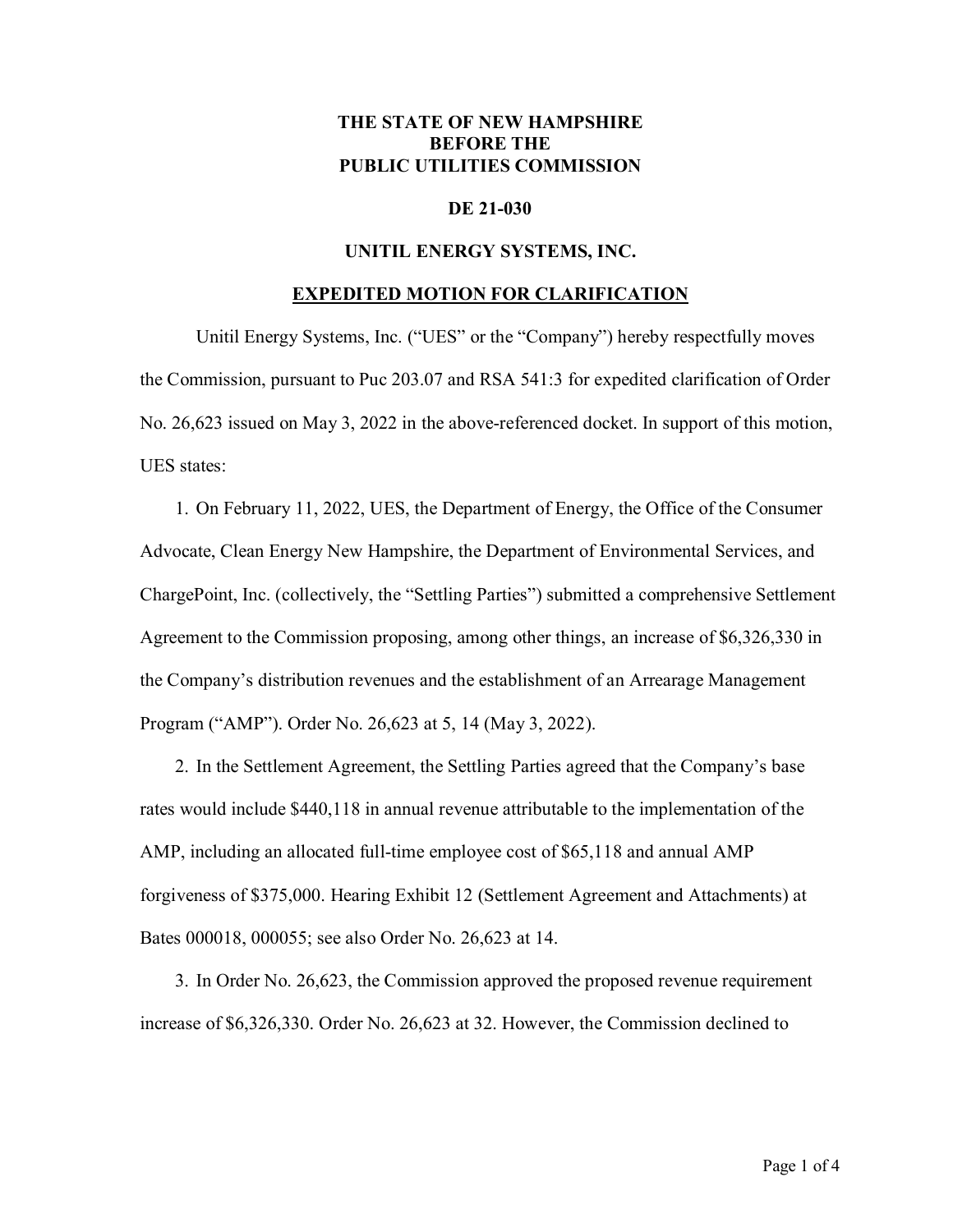## **THE STATE OF NEW HAMPSHIRE BEFORE THE PUBLIC UTILITIES COMMISSION**

### **DE 21-030**

#### **UNITIL ENERGY SYSTEMS, INC.**

#### **EXPEDITED MOTION FOR CLARIFICATION**

Unitil Energy Systems, Inc. ("UES" or the "Company") hereby respectfully moves the Commission, pursuant to Puc 203.07 and RSA 541:3 for expedited clarification of Order No. 26,623 issued on May 3, 2022 in the above-referenced docket. In support of this motion, UES states:

1. On February 11, 2022, UES, the Department of Energy, the Office of the Consumer Advocate, Clean Energy New Hampshire, the Department of Environmental Services, and ChargePoint, Inc. (collectively, the "Settling Parties") submitted a comprehensive Settlement Agreement to the Commission proposing, among other things, an increase of \$6,326,330 in the Company's distribution revenues and the establishment of an Arrearage Management Program ("AMP"). Order No. 26,623 at 5, 14 (May 3, 2022).

2. In the Settlement Agreement, the Settling Parties agreed that the Company's base rates would include \$440,118 in annual revenue attributable to the implementation of the AMP, including an allocated full-time employee cost of \$65,118 and annual AMP forgiveness of \$375,000. Hearing Exhibit 12 (Settlement Agreement and Attachments) at Bates 000018, 000055; see also Order No. 26,623 at 14.

3. In Order No. 26,623, the Commission approved the proposed revenue requirement increase of \$6,326,330. Order No. 26,623 at 32. However, the Commission declined to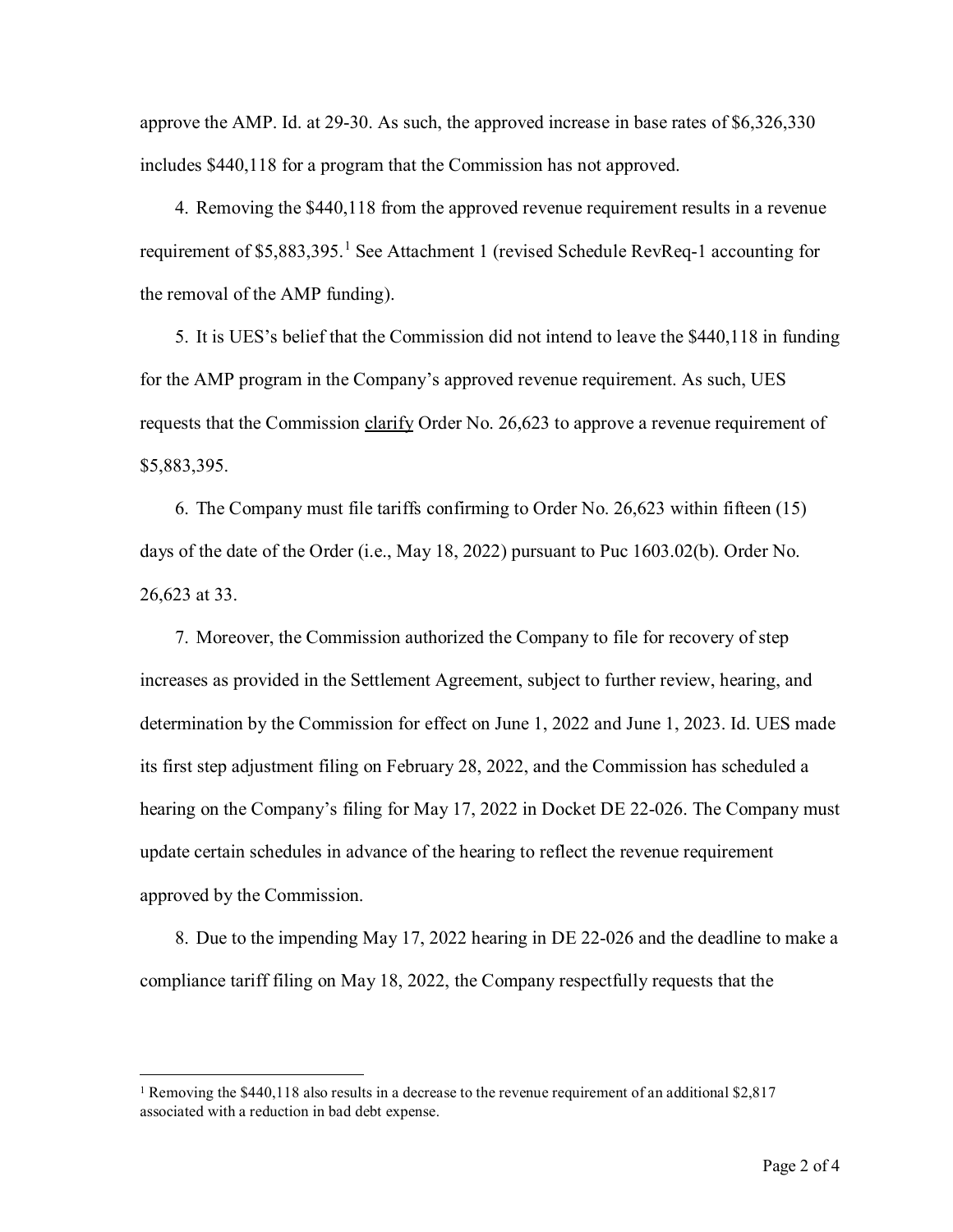approve the AMP. Id. at 29-30. As such, the approved increase in base rates of \$6,326,330 includes \$440,118 for a program that the Commission has not approved.

4. Removing the \$440,118 from the approved revenue requirement results in a revenue requirement of \$5,883,395.<sup>[1](#page-1-0)</sup> See Attachment 1 (revised Schedule RevReq-1 accounting for the removal of the AMP funding).

5. It is UES's belief that the Commission did not intend to leave the \$440,118 in funding for the AMP program in the Company's approved revenue requirement. As such, UES requests that the Commission clarify Order No. 26,623 to approve a revenue requirement of \$5,883,395.

6. The Company must file tariffs confirming to Order No. 26,623 within fifteen (15) days of the date of the Order (i.e., May 18, 2022) pursuant to Puc 1603.02(b). Order No. 26,623 at 33.

7. Moreover, the Commission authorized the Company to file for recovery of step increases as provided in the Settlement Agreement, subject to further review, hearing, and determination by the Commission for effect on June 1, 2022 and June 1, 2023. Id. UES made its first step adjustment filing on February 28, 2022, and the Commission has scheduled a hearing on the Company's filing for May 17, 2022 in Docket DE 22-026. The Company must update certain schedules in advance of the hearing to reflect the revenue requirement approved by the Commission.

8. Due to the impending May 17, 2022 hearing in DE 22-026 and the deadline to make a compliance tariff filing on May 18, 2022, the Company respectfully requests that the

<span id="page-1-0"></span><sup>&</sup>lt;sup>1</sup> Removing the \$440,118 also results in a decrease to the revenue requirement of an additional \$2,817 associated with a reduction in bad debt expense.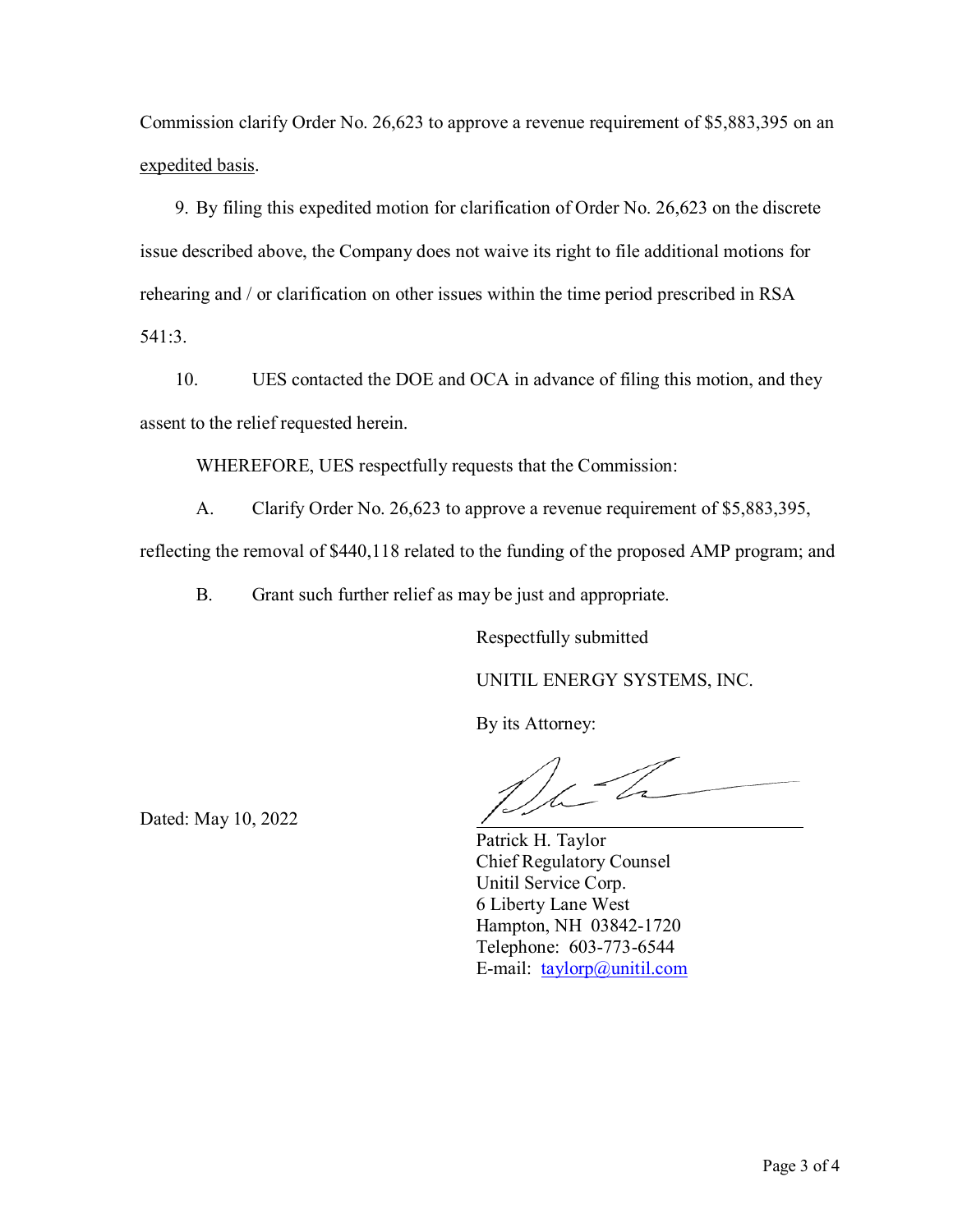Commission clarify Order No. 26,623 to approve a revenue requirement of \$5,883,395 on an expedited basis.

9. By filing this expedited motion for clarification of Order No. 26,623 on the discrete issue described above, the Company does not waive its right to file additional motions for rehearing and / or clarification on other issues within the time period prescribed in RSA 541:3.

10. UES contacted the DOE and OCA in advance of filing this motion, and they assent to the relief requested herein.

WHEREFORE, UES respectfully requests that the Commission:

A. Clarify Order No. 26,623 to approve a revenue requirement of \$5,883,395,

reflecting the removal of \$440,118 related to the funding of the proposed AMP program; and

B. Grant such further relief as may be just and appropriate.

Respectfully submitted

UNITIL ENERGY SYSTEMS, INC.

By its Attorney:

Dated: May 10, 2022

Patrick H. Taylor Chief Regulatory Counsel Unitil Service Corp. 6 Liberty Lane West Hampton, NH 03842-1720 Telephone: 603-773-6544 E-mail: [taylorp@unitil.com](mailto:taylorp@unitil.com)